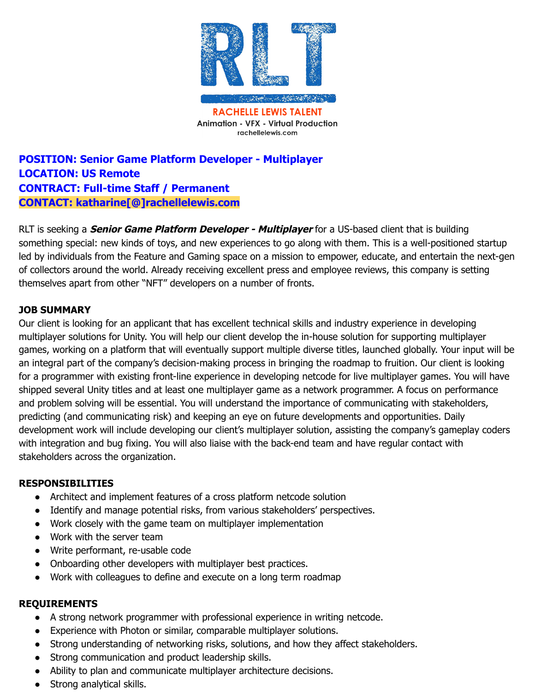

## **POSITION: Senior Game Platform Developer - Multiplayer LOCATION: US Remote CONTRACT: Full-time Staff / Permanent CONTACT: katharine[@]rachellelewis.com**

RLT is seeking a **Senior Game Platform Developer - Multiplayer** for a US-based client that is building something special: new kinds of toys, and new experiences to go along with them. This is a well-positioned startup led by individuals from the Feature and Gaming space on a mission to empower, educate, and entertain the next-gen of collectors around the world. Already receiving excellent press and employee reviews, this company is setting themselves apart from other "NFT" developers on a number of fronts.

## **JOB SUMMARY**

Our client is looking for an applicant that has excellent technical skills and industry experience in developing multiplayer solutions for Unity. You will help our client develop the in-house solution for supporting multiplayer games, working on a platform that will eventually support multiple diverse titles, launched globally. Your input will be an integral part of the company's decision-making process in bringing the roadmap to fruition. Our client is looking for a programmer with existing front-line experience in developing netcode for live multiplayer games. You will have shipped several Unity titles and at least one multiplayer game as a network programmer. A focus on performance and problem solving will be essential. You will understand the importance of communicating with stakeholders, predicting (and communicating risk) and keeping an eye on future developments and opportunities. Daily development work will include developing our client's multiplayer solution, assisting the company's gameplay coders with integration and bug fixing. You will also liaise with the back-end team and have regular contact with stakeholders across the organization.

## **RESPONSIBILITIES**

- Architect and implement features of a cross platform netcode solution
- Identify and manage potential risks, from various stakeholders' perspectives.
- Work closely with the game team on multiplayer implementation
- Work with the server team
- Write performant, re-usable code
- Onboarding other developers with multiplayer best practices.
- Work with colleagues to define and execute on a long term roadmap

## **REQUIREMENTS**

- A strong network programmer with professional experience in writing netcode.
- Experience with Photon or similar, comparable multiplayer solutions.
- Strong understanding of networking risks, solutions, and how they affect stakeholders.
- Strong communication and product leadership skills.
- Ability to plan and communicate multiplayer architecture decisions.
- Strong analytical skills.